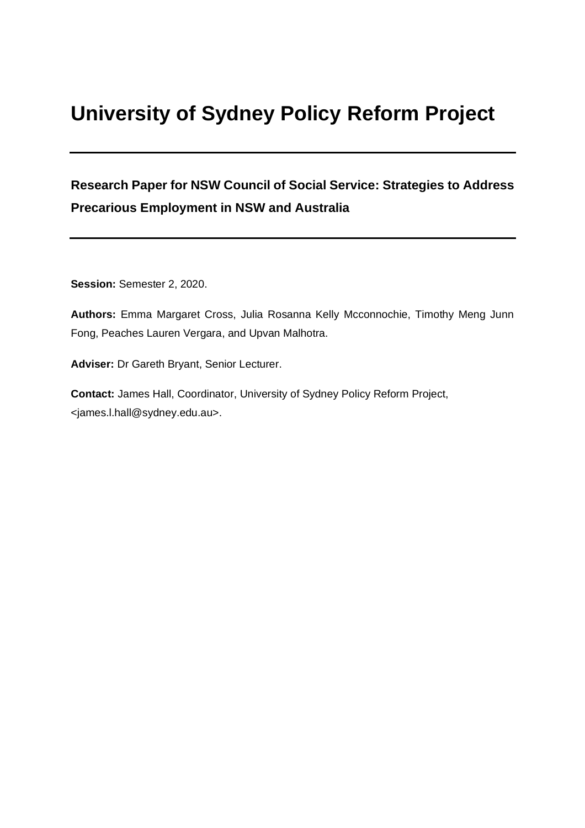# **University of Sydney Policy Reform Project**

## **Research Paper for NSW Council of Social Service: Strategies to Address Precarious Employment in NSW and Australia**

**Session:** Semester 2, 2020.

**Authors:** Emma Margaret Cross, Julia Rosanna Kelly Mcconnochie, Timothy Meng Junn Fong, Peaches Lauren Vergara, and Upvan Malhotra.

**Adviser:** Dr Gareth Bryant, Senior Lecturer.

**Contact:** James Hall, Coordinator, University of Sydney Policy Reform Project, <james.l.hall@sydney.edu.au>.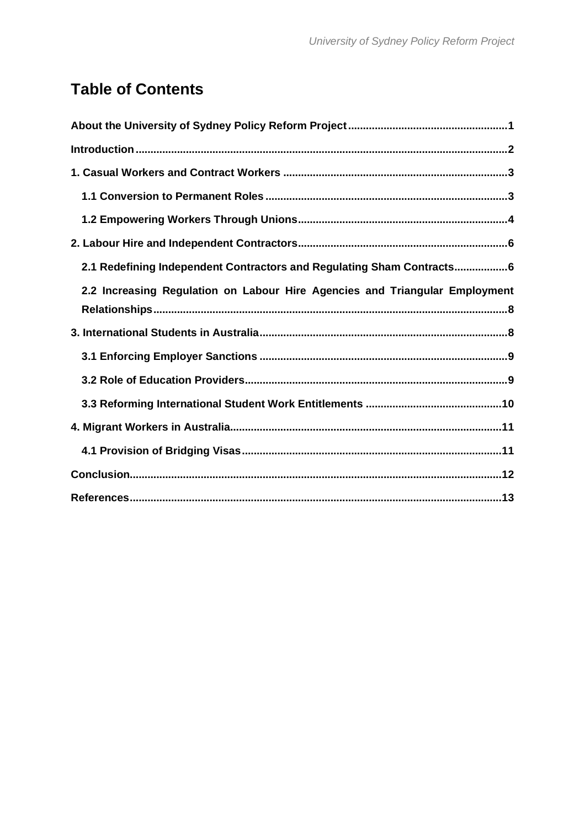# **Table of Contents**

| 2.1 Redefining Independent Contractors and Regulating Sham Contracts6       |
|-----------------------------------------------------------------------------|
| 2.2 Increasing Regulation on Labour Hire Agencies and Triangular Employment |
|                                                                             |
|                                                                             |
|                                                                             |
|                                                                             |
|                                                                             |
|                                                                             |
|                                                                             |
|                                                                             |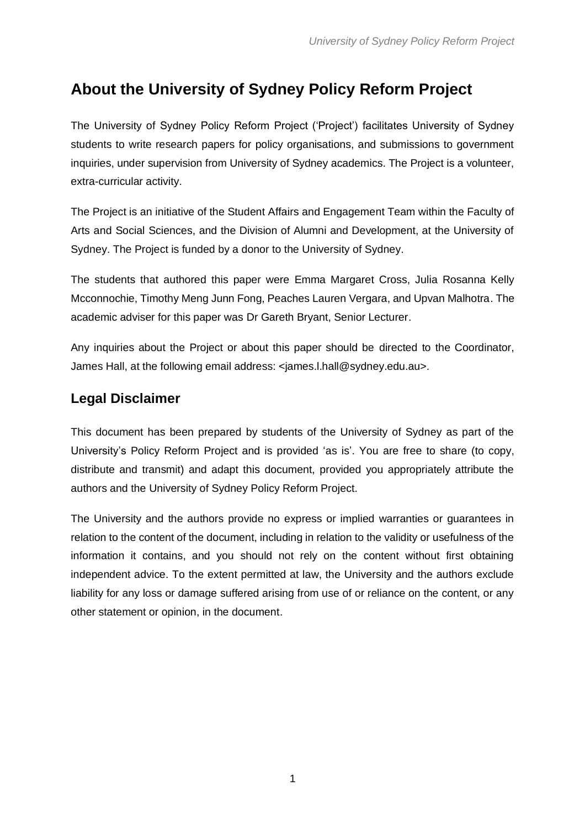# <span id="page-2-0"></span>**About the University of Sydney Policy Reform Project**

The University of Sydney Policy Reform Project ('Project') facilitates University of Sydney students to write research papers for policy organisations, and submissions to government inquiries, under supervision from University of Sydney academics. The Project is a volunteer, extra-curricular activity.

The Project is an initiative of the Student Affairs and Engagement Team within the Faculty of Arts and Social Sciences, and the Division of Alumni and Development, at the University of Sydney. The Project is funded by a donor to the University of Sydney.

The students that authored this paper were Emma Margaret Cross, Julia Rosanna Kelly Mcconnochie, Timothy Meng Junn Fong, Peaches Lauren Vergara, and Upvan Malhotra. The academic adviser for this paper was Dr Gareth Bryant, Senior Lecturer.

Any inquiries about the Project or about this paper should be directed to the Coordinator, James Hall, at the following email address: <james.l.hall@sydney.edu.au>.

### **Legal Disclaimer**

This document has been prepared by students of the University of Sydney as part of the University's Policy Reform Project and is provided 'as is'. You are free to share (to copy, distribute and transmit) and adapt this document, provided you appropriately attribute the authors and the University of Sydney Policy Reform Project.

The University and the authors provide no express or implied warranties or guarantees in relation to the content of the document, including in relation to the validity or usefulness of the information it contains, and you should not rely on the content without first obtaining independent advice. To the extent permitted at law, the University and the authors exclude liability for any loss or damage suffered arising from use of or reliance on the content, or any other statement or opinion, in the document.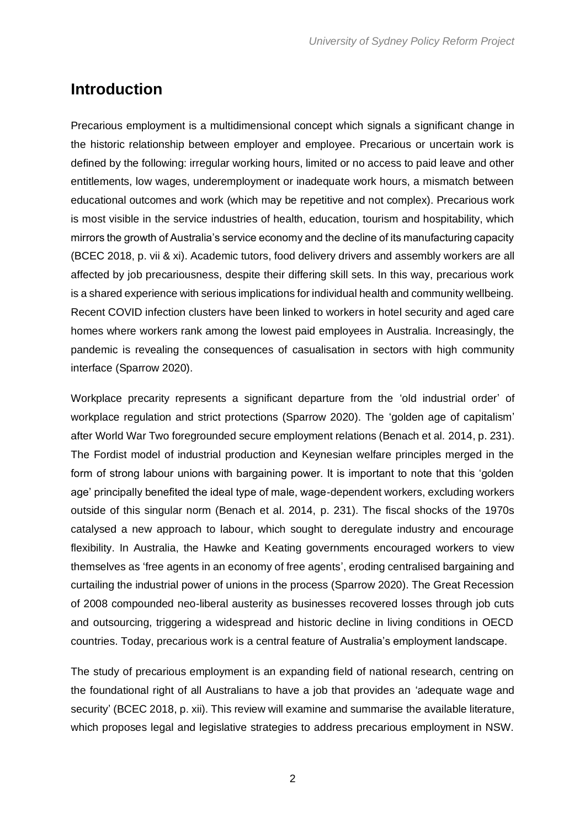### <span id="page-3-0"></span>**Introduction**

Precarious employment is a multidimensional concept which signals a significant change in the historic relationship between employer and employee. Precarious or uncertain work is defined by the following: irregular working hours, limited or no access to paid leave and other entitlements, low wages, underemployment or inadequate work hours, a mismatch between educational outcomes and work (which may be repetitive and not complex). Precarious work is most visible in the service industries of health, education, tourism and hospitability, which mirrors the growth of Australia's service economy and the decline of its manufacturing capacity (BCEC 2018, p. vii & xi). Academic tutors, food delivery drivers and assembly workers are all affected by job precariousness, despite their differing skill sets. In this way, precarious work is a shared experience with serious implications for individual health and community wellbeing. Recent COVID infection clusters have been linked to workers in hotel security and aged care homes where workers rank among the lowest paid employees in Australia. Increasingly, the pandemic is revealing the consequences of casualisation in sectors with high community interface (Sparrow 2020).

Workplace precarity represents a significant departure from the 'old industrial order' of workplace regulation and strict protections (Sparrow 2020). The 'golden age of capitalism' after World War Two foregrounded secure employment relations (Benach et al. 2014, p. 231). The Fordist model of industrial production and Keynesian welfare principles merged in the form of strong labour unions with bargaining power. It is important to note that this 'golden age' principally benefited the ideal type of male, wage-dependent workers, excluding workers outside of this singular norm (Benach et al. 2014, p. 231). The fiscal shocks of the 1970s catalysed a new approach to labour, which sought to deregulate industry and encourage flexibility. In Australia, the Hawke and Keating governments encouraged workers to view themselves as 'free agents in an economy of free agents', eroding centralised bargaining and curtailing the industrial power of unions in the process (Sparrow 2020). The Great Recession of 2008 compounded neo-liberal austerity as businesses recovered losses through job cuts and outsourcing, triggering a widespread and historic decline in living conditions in OECD countries. Today, precarious work is a central feature of Australia's employment landscape.

The study of precarious employment is an expanding field of national research, centring on the foundational right of all Australians to have a job that provides an 'adequate wage and security' (BCEC 2018, p. xii). This review will examine and summarise the available literature, which proposes legal and legislative strategies to address precarious employment in NSW.

2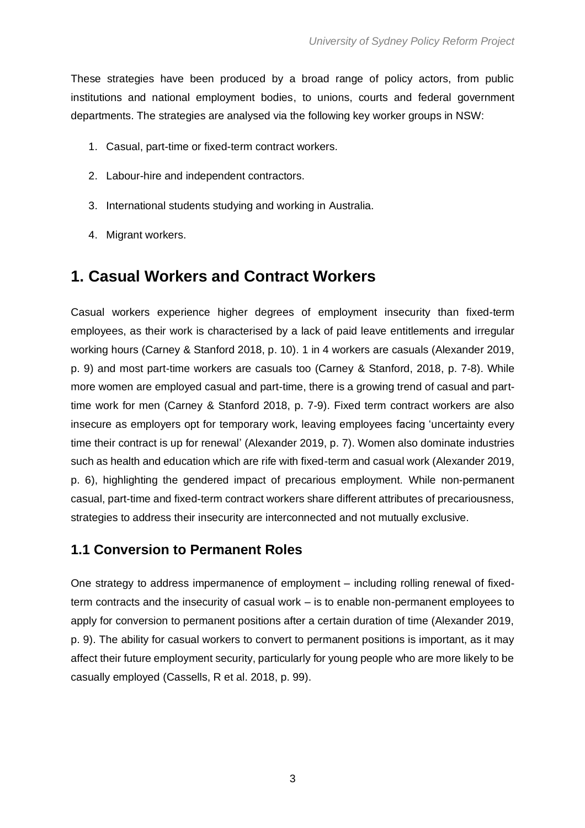These strategies have been produced by a broad range of policy actors, from public institutions and national employment bodies, to unions, courts and federal government departments. The strategies are analysed via the following key worker groups in NSW:

- 1. Casual, part-time or fixed-term contract workers.
- 2. Labour-hire and independent contractors.
- 3. International students studying and working in Australia.
- 4. Migrant workers.

### <span id="page-4-0"></span>**1. Casual Workers and Contract Workers**

Casual workers experience higher degrees of employment insecurity than fixed-term employees, as their work is characterised by a lack of paid leave entitlements and irregular working hours (Carney & Stanford 2018, p. 10). 1 in 4 workers are casuals (Alexander 2019, p. 9) and most part-time workers are casuals too (Carney & Stanford, 2018, p. 7-8). While more women are employed casual and part-time, there is a growing trend of casual and parttime work for men (Carney & Stanford 2018, p. 7-9). Fixed term contract workers are also insecure as employers opt for temporary work, leaving employees facing 'uncertainty every time their contract is up for renewal' (Alexander 2019, p. 7). Women also dominate industries such as health and education which are rife with fixed-term and casual work (Alexander 2019, p. 6), highlighting the gendered impact of precarious employment. While non-permanent casual, part-time and fixed-term contract workers share different attributes of precariousness, strategies to address their insecurity are interconnected and not mutually exclusive.

#### <span id="page-4-1"></span>**1.1 Conversion to Permanent Roles**

One strategy to address impermanence of employment – including rolling renewal of fixedterm contracts and the insecurity of casual work – is to enable non-permanent employees to apply for conversion to permanent positions after a certain duration of time (Alexander 2019, p. 9). The ability for casual workers to convert to permanent positions is important, as it may affect their future employment security, particularly for young people who are more likely to be casually employed (Cassells, R et al. 2018, p. 99).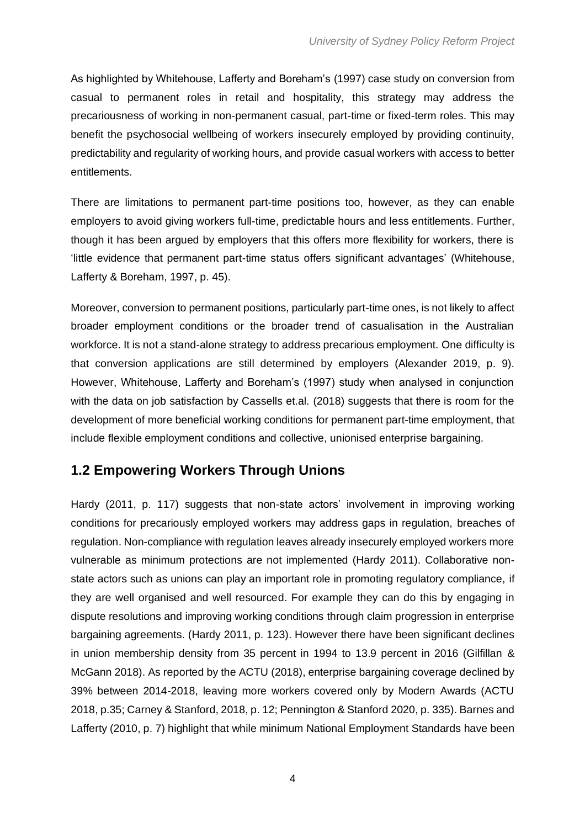As highlighted by Whitehouse, Lafferty and Boreham's (1997) case study on conversion from casual to permanent roles in retail and hospitality, this strategy may address the precariousness of working in non-permanent casual, part-time or fixed-term roles. This may benefit the psychosocial wellbeing of workers insecurely employed by providing continuity, predictability and regularity of working hours, and provide casual workers with access to better entitlements.

There are limitations to permanent part-time positions too, however, as they can enable employers to avoid giving workers full-time, predictable hours and less entitlements. Further, though it has been argued by employers that this offers more flexibility for workers, there is 'little evidence that permanent part-time status offers significant advantages' (Whitehouse, Lafferty & Boreham, 1997, p. 45).

Moreover, conversion to permanent positions, particularly part-time ones, is not likely to affect broader employment conditions or the broader trend of casualisation in the Australian workforce. It is not a stand-alone strategy to address precarious employment. One difficulty is that conversion applications are still determined by employers (Alexander 2019, p. 9). However, Whitehouse, Lafferty and Boreham's (1997) study when analysed in conjunction with the data on job satisfaction by Cassells et.al. (2018) suggests that there is room for the development of more beneficial working conditions for permanent part-time employment, that include flexible employment conditions and collective, unionised enterprise bargaining.

### <span id="page-5-0"></span>**1.2 Empowering Workers Through Unions**

Hardy (2011, p. 117) suggests that non-state actors' involvement in improving working conditions for precariously employed workers may address gaps in regulation, breaches of regulation. Non-compliance with regulation leaves already insecurely employed workers more vulnerable as minimum protections are not implemented (Hardy 2011). Collaborative nonstate actors such as unions can play an important role in promoting regulatory compliance, if they are well organised and well resourced. For example they can do this by engaging in dispute resolutions and improving working conditions through claim progression in enterprise bargaining agreements. (Hardy 2011, p. 123). However there have been significant declines in union membership density from 35 percent in 1994 to 13.9 percent in 2016 (Gilfillan & McGann 2018). As reported by the ACTU (2018), enterprise bargaining coverage declined by 39% between 2014-2018, leaving more workers covered only by Modern Awards (ACTU 2018, p.35; Carney & Stanford, 2018, p. 12; Pennington & Stanford 2020, p. 335). Barnes and Lafferty (2010, p. 7) highlight that while minimum National Employment Standards have been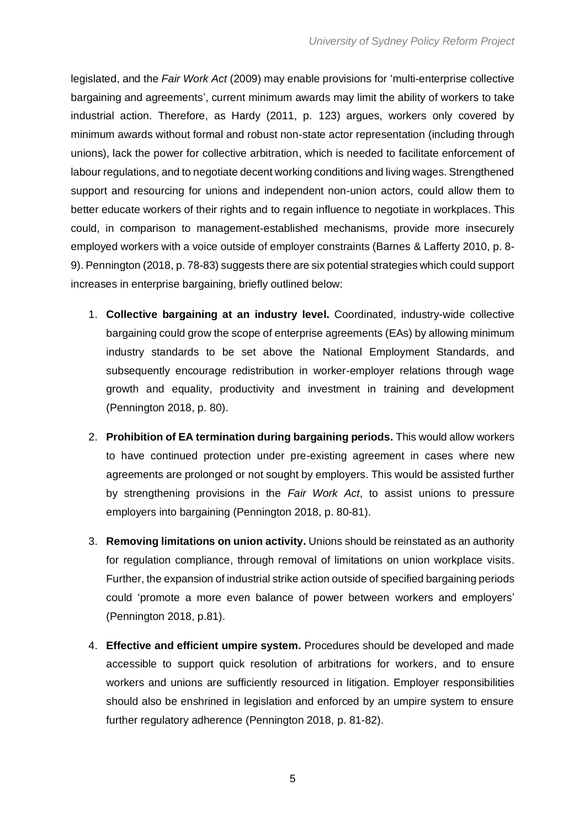legislated, and the *Fair Work Act* (2009) may enable provisions for 'multi-enterprise collective bargaining and agreements', current minimum awards may limit the ability of workers to take industrial action. Therefore, as Hardy (2011, p. 123) argues, workers only covered by minimum awards without formal and robust non-state actor representation (including through unions), lack the power for collective arbitration, which is needed to facilitate enforcement of labour regulations, and to negotiate decent working conditions and living wages. Strengthened support and resourcing for unions and independent non-union actors, could allow them to better educate workers of their rights and to regain influence to negotiate in workplaces. This could, in comparison to management-established mechanisms, provide more insecurely employed workers with a voice outside of employer constraints (Barnes & Lafferty 2010, p. 8- 9). Pennington (2018, p. 78-83) suggests there are six potential strategies which could support increases in enterprise bargaining, briefly outlined below:

- 1. **Collective bargaining at an industry level.** Coordinated, industry-wide collective bargaining could grow the scope of enterprise agreements (EAs) by allowing minimum industry standards to be set above the National Employment Standards, and subsequently encourage redistribution in worker-employer relations through wage growth and equality, productivity and investment in training and development (Pennington 2018, p. 80).
- 2. **Prohibition of EA termination during bargaining periods.** This would allow workers to have continued protection under pre-existing agreement in cases where new agreements are prolonged or not sought by employers. This would be assisted further by strengthening provisions in the *Fair Work Act*, to assist unions to pressure employers into bargaining (Pennington 2018, p. 80-81).
- 3. **Removing limitations on union activity.** Unions should be reinstated as an authority for regulation compliance, through removal of limitations on union workplace visits. Further, the expansion of industrial strike action outside of specified bargaining periods could 'promote a more even balance of power between workers and employers' (Pennington 2018, p.81).
- 4. **Effective and efficient umpire system.** Procedures should be developed and made accessible to support quick resolution of arbitrations for workers, and to ensure workers and unions are sufficiently resourced in litigation. Employer responsibilities should also be enshrined in legislation and enforced by an umpire system to ensure further regulatory adherence (Pennington 2018, p. 81-82).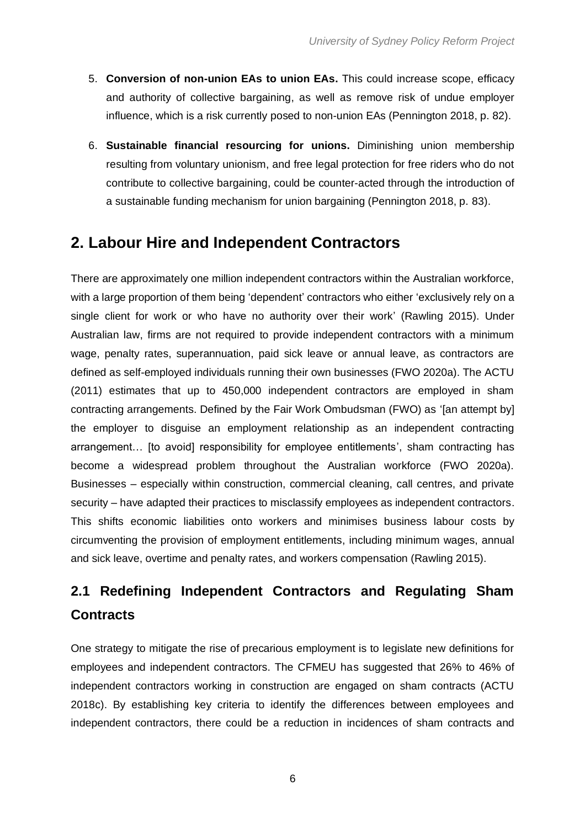- 5. **Conversion of non-union EAs to union EAs.** This could increase scope, efficacy and authority of collective bargaining, as well as remove risk of undue employer influence, which is a risk currently posed to non-union EAs (Pennington 2018, p. 82).
- 6. **Sustainable financial resourcing for unions.** Diminishing union membership resulting from voluntary unionism, and free legal protection for free riders who do not contribute to collective bargaining, could be counter-acted through the introduction of a sustainable funding mechanism for union bargaining (Pennington 2018, p. 83).

### <span id="page-7-0"></span>**2. Labour Hire and Independent Contractors**

There are approximately one million independent contractors within the Australian workforce, with a large proportion of them being 'dependent' contractors who either 'exclusively rely on a single client for work or who have no authority over their work' (Rawling 2015). Under Australian law, firms are not required to provide independent contractors with a minimum wage, penalty rates, superannuation, paid sick leave or annual leave, as contractors are defined as self-employed individuals running their own businesses (FWO 2020a). The ACTU (2011) estimates that up to 450,000 independent contractors are employed in sham contracting arrangements. Defined by the Fair Work Ombudsman (FWO) as '[an attempt by] the employer to disguise an employment relationship as an independent contracting arrangement… [to avoid] responsibility for employee entitlements', sham contracting has become a widespread problem throughout the Australian workforce (FWO 2020a). Businesses – especially within construction, commercial cleaning, call centres, and private security – have adapted their practices to misclassify employees as independent contractors. This shifts economic liabilities onto workers and minimises business labour costs by circumventing the provision of employment entitlements, including minimum wages, annual and sick leave, overtime and penalty rates, and workers compensation (Rawling 2015).

# <span id="page-7-1"></span>**2.1 Redefining Independent Contractors and Regulating Sham Contracts**

One strategy to mitigate the rise of precarious employment is to legislate new definitions for employees and independent contractors. The CFMEU has suggested that 26% to 46% of independent contractors working in construction are engaged on sham contracts (ACTU 2018c). By establishing key criteria to identify the differences between employees and independent contractors, there could be a reduction in incidences of sham contracts and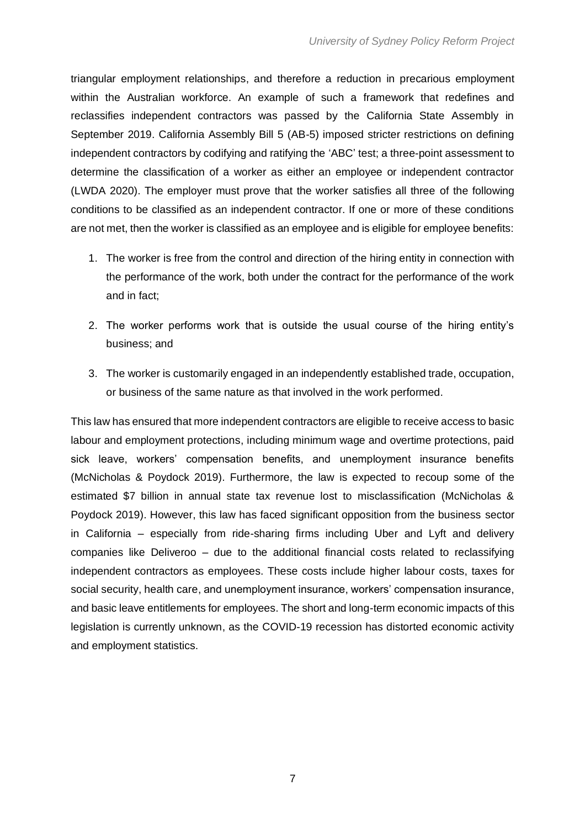triangular employment relationships, and therefore a reduction in precarious employment within the Australian workforce. An example of such a framework that redefines and reclassifies independent contractors was passed by the California State Assembly in September 2019. California Assembly Bill 5 (AB-5) imposed stricter restrictions on defining independent contractors by codifying and ratifying the 'ABC' test; a three-point assessment to determine the classification of a worker as either an employee or independent contractor (LWDA 2020). The employer must prove that the worker satisfies all three of the following conditions to be classified as an independent contractor. If one or more of these conditions are not met, then the worker is classified as an employee and is eligible for employee benefits:

- 1. The worker is free from the control and direction of the hiring entity in connection with the performance of the work, both under the contract for the performance of the work and in fact;
- 2. The worker performs work that is outside the usual course of the hiring entity's business; and
- 3. The worker is customarily engaged in an independently established trade, occupation, or business of the same nature as that involved in the work performed.

This law has ensured that more independent contractors are eligible to receive access to basic labour and employment protections, including minimum wage and overtime protections, paid sick leave, workers' compensation benefits, and unemployment insurance benefits (McNicholas & Poydock 2019). Furthermore, the law is expected to recoup some of the estimated \$7 billion in annual state tax revenue lost to misclassification (McNicholas & Poydock 2019). However, this law has faced significant opposition from the business sector in California – especially from ride-sharing firms including Uber and Lyft and delivery companies like Deliveroo – due to the additional financial costs related to reclassifying independent contractors as employees. These costs include higher labour costs, taxes for social security, health care, and unemployment insurance, workers' compensation insurance, and basic leave entitlements for employees. The short and long-term economic impacts of this legislation is currently unknown, as the COVID-19 recession has distorted economic activity and employment statistics.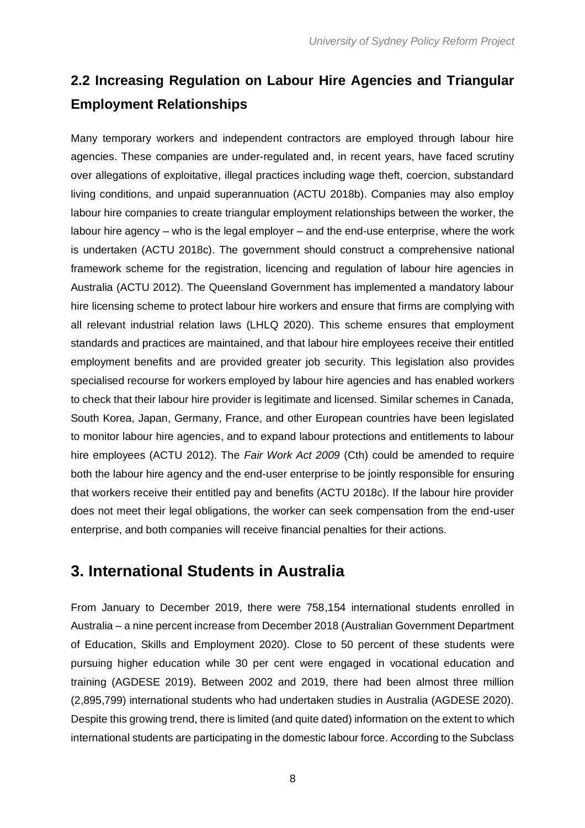## <span id="page-9-0"></span>**2.2 Increasing Regulation on Labour Hire Agencies and Triangular Employment Relationships**

Many temporary workers and independent contractors are employed through labour hire agencies. These companies are under-regulated and, in recent years, have faced scrutiny over allegations of exploitative, illegal practices including wage theft, coercion, substandard living conditions, and unpaid superannuation (ACTU 2018b). Companies may also employ labour hire companies to create triangular employment relationships between the worker, the labour hire agency – who is the legal employer – and the end-use enterprise, where the work is undertaken (ACTU 2018c). The government should construct a comprehensive national framework scheme for the registration, licencing and regulation of labour hire agencies in Australia (ACTU 2012). The Queensland Government has implemented a mandatory labour hire licensing scheme to protect labour hire workers and ensure that firms are complying with all relevant industrial relation laws (LHLQ 2020). This scheme ensures that employment standards and practices are maintained, and that labour hire employees receive their entitled employment benefits and are provided greater job security. This legislation also provides specialised recourse for workers employed by labour hire agencies and has enabled workers to check that their labour hire provider is legitimate and licensed. Similar schemes in Canada, South Korea, Japan, Germany, France, and other European countries have been legislated to monitor labour hire agencies, and to expand labour protections and entitlements to labour hire employees (ACTU 2012). The *Fair Work Act 2009* (Cth) could be amended to require both the labour hire agency and the end-user enterprise to be jointly responsible for ensuring that workers receive their entitled pay and benefits (ACTU 2018c). If the labour hire provider does not meet their legal obligations, the worker can seek compensation from the end-user enterprise, and both companies will receive financial penalties for their actions.

### <span id="page-9-1"></span>**3. International Students in Australia**

From January to December 2019, there were 758,154 international students enrolled in Australia – a nine percent increase from December 2018 (Australian Government Department of Education, Skills and Employment 2020). Close to 50 percent of these students were pursuing higher education while 30 per cent were engaged in vocational education and training (AGDESE 2019). Between 2002 and 2019, there had been almost three million (2,895,799) international students who had undertaken studies in Australia (AGDESE 2020). Despite this growing trend, there is limited (and quite dated) information on the extent to which international students are participating in the domestic labour force. According to the Subclass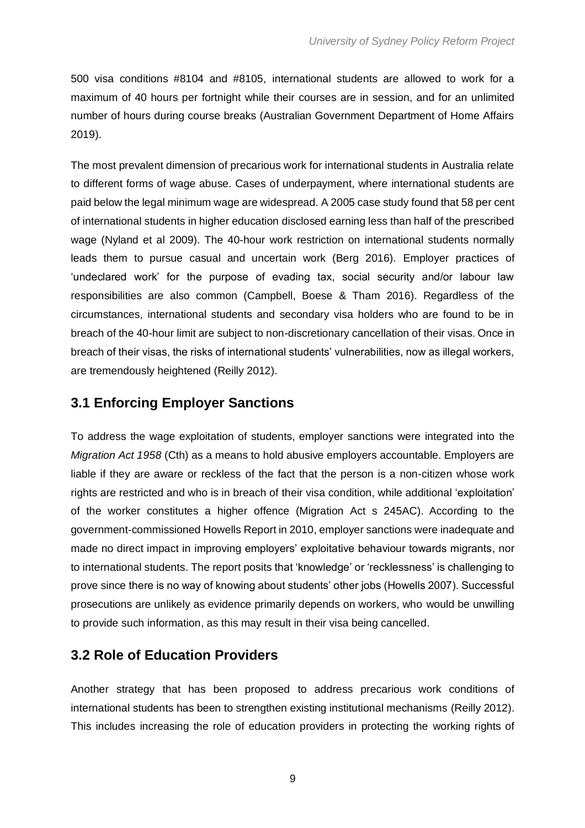500 visa conditions #8104 and #8105, international students are allowed to work for a maximum of 40 hours per fortnight while their courses are in session, and for an unlimited number of hours during course breaks (Australian Government Department of Home Affairs 2019).

The most prevalent dimension of precarious work for international students in Australia relate to different forms of wage abuse. Cases of underpayment, where international students are paid below the legal minimum wage are widespread. A 2005 case study found that 58 per cent of international students in higher education disclosed earning less than half of the prescribed wage (Nyland et al 2009). The 40-hour work restriction on international students normally leads them to pursue casual and uncertain work (Berg 2016). Employer practices of 'undeclared work' for the purpose of evading tax, social security and/or labour law responsibilities are also common (Campbell, Boese & Tham 2016). Regardless of the circumstances, international students and secondary visa holders who are found to be in breach of the 40-hour limit are subject to non-discretionary cancellation of their visas. Once in breach of their visas, the risks of international students' vulnerabilities, now as illegal workers, are tremendously heightened (Reilly 2012).

#### <span id="page-10-0"></span>**3.1 Enforcing Employer Sanctions**

To address the wage exploitation of students, employer sanctions were integrated into the *Migration Act 1958* (Cth) as a means to hold abusive employers accountable. Employers are liable if they are aware or reckless of the fact that the person is a non-citizen whose work rights are restricted and who is in breach of their visa condition, while additional 'exploitation' of the worker constitutes a higher offence (Migration Act s 245AC). According to the government-commissioned Howells Report in 2010, employer sanctions were inadequate and made no direct impact in improving employers' exploitative behaviour towards migrants, nor to international students. The report posits that 'knowledge' or 'recklessness' is challenging to prove since there is no way of knowing about students' other jobs (Howells 2007). Successful prosecutions are unlikely as evidence primarily depends on workers, who would be unwilling to provide such information, as this may result in their visa being cancelled.

### <span id="page-10-1"></span>**3.2 Role of Education Providers**

Another strategy that has been proposed to address precarious work conditions of international students has been to strengthen existing institutional mechanisms (Reilly 2012). This includes increasing the role of education providers in protecting the working rights of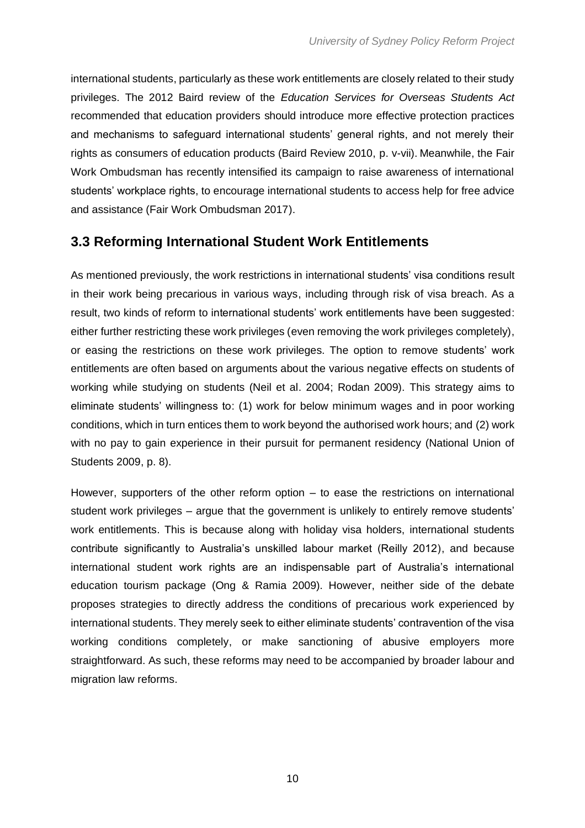international students, particularly as these work entitlements are closely related to their study privileges. The 2012 Baird review of the *Education Services for Overseas Students Act*  recommended that education providers should introduce more effective protection practices and mechanisms to safeguard international students' general rights, and not merely their rights as consumers of education products (Baird Review 2010, p. v-vii). Meanwhile, the Fair Work Ombudsman has recently intensified its campaign to raise awareness of international students' workplace rights, to encourage international students to access help for free advice and assistance (Fair Work Ombudsman 2017).

### <span id="page-11-0"></span>**3.3 Reforming International Student Work Entitlements**

As mentioned previously, the work restrictions in international students' visa conditions result in their work being precarious in various ways, including through risk of visa breach. As a result, two kinds of reform to international students' work entitlements have been suggested: either further restricting these work privileges (even removing the work privileges completely), or easing the restrictions on these work privileges. The option to remove students' work entitlements are often based on arguments about the various negative effects on students of working while studying on students (Neil et al. 2004; Rodan 2009). This strategy aims to eliminate students' willingness to: (1) work for below minimum wages and in poor working conditions, which in turn entices them to work beyond the authorised work hours; and (2) work with no pay to gain experience in their pursuit for permanent residency (National Union of Students 2009, p. 8).

However, supporters of the other reform option – to ease the restrictions on international student work privileges – argue that the government is unlikely to entirely remove students' work entitlements. This is because along with holiday visa holders, international students contribute significantly to Australia's unskilled labour market (Reilly 2012), and because international student work rights are an indispensable part of Australia's international education tourism package (Ong & Ramia 2009). However, neither side of the debate proposes strategies to directly address the conditions of precarious work experienced by international students. They merely seek to either eliminate students' contravention of the visa working conditions completely, or make sanctioning of abusive employers more straightforward. As such, these reforms may need to be accompanied by broader labour and migration law reforms.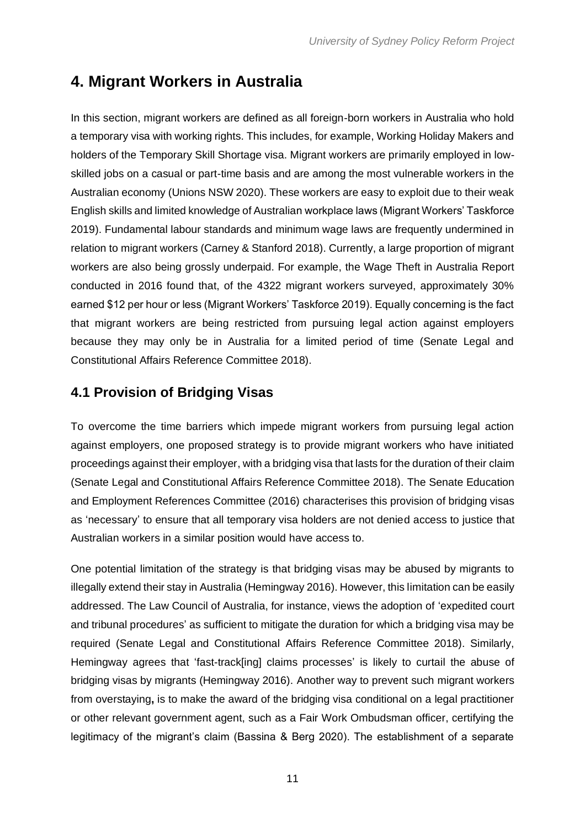### <span id="page-12-0"></span>**4. Migrant Workers in Australia**

In this section, migrant workers are defined as all foreign-born workers in Australia who hold a temporary visa with working rights. This includes, for example, Working Holiday Makers and holders of the Temporary Skill Shortage visa. Migrant workers are primarily employed in lowskilled jobs on a casual or part-time basis and are among the most vulnerable workers in the Australian economy (Unions NSW 2020). These workers are easy to exploit due to their weak English skills and limited knowledge of Australian workplace laws (Migrant Workers' Taskforce 2019). Fundamental labour standards and minimum wage laws are frequently undermined in relation to migrant workers (Carney & Stanford 2018). Currently, a large proportion of migrant workers are also being grossly underpaid. For example, the Wage Theft in Australia Report conducted in 2016 found that, of the 4322 migrant workers surveyed, approximately 30% earned \$12 per hour or less (Migrant Workers' Taskforce 2019). Equally concerning is the fact that migrant workers are being restricted from pursuing legal action against employers because they may only be in Australia for a limited period of time (Senate Legal and Constitutional Affairs Reference Committee 2018).

### <span id="page-12-1"></span>**4.1 Provision of Bridging Visas**

To overcome the time barriers which impede migrant workers from pursuing legal action against employers, one proposed strategy is to provide migrant workers who have initiated proceedings against their employer, with a bridging visa that lasts for the duration of their claim (Senate Legal and Constitutional Affairs Reference Committee 2018). The Senate Education and Employment References Committee (2016) characterises this provision of bridging visas as 'necessary' to ensure that all temporary visa holders are not denied access to justice that Australian workers in a similar position would have access to.

One potential limitation of the strategy is that bridging visas may be abused by migrants to illegally extend their stay in Australia (Hemingway 2016). However, this limitation can be easily addressed. The Law Council of Australia, for instance, views the adoption of 'expedited court and tribunal procedures' as sufficient to mitigate the duration for which a bridging visa may be required (Senate Legal and Constitutional Affairs Reference Committee 2018). Similarly, Hemingway agrees that 'fast-track[ing] claims processes' is likely to curtail the abuse of bridging visas by migrants (Hemingway 2016). Another way to prevent such migrant workers from overstaying**,** is to make the award of the bridging visa conditional on a legal practitioner or other relevant government agent, such as a Fair Work Ombudsman officer, certifying the legitimacy of the migrant's claim (Bassina & Berg 2020). The establishment of a separate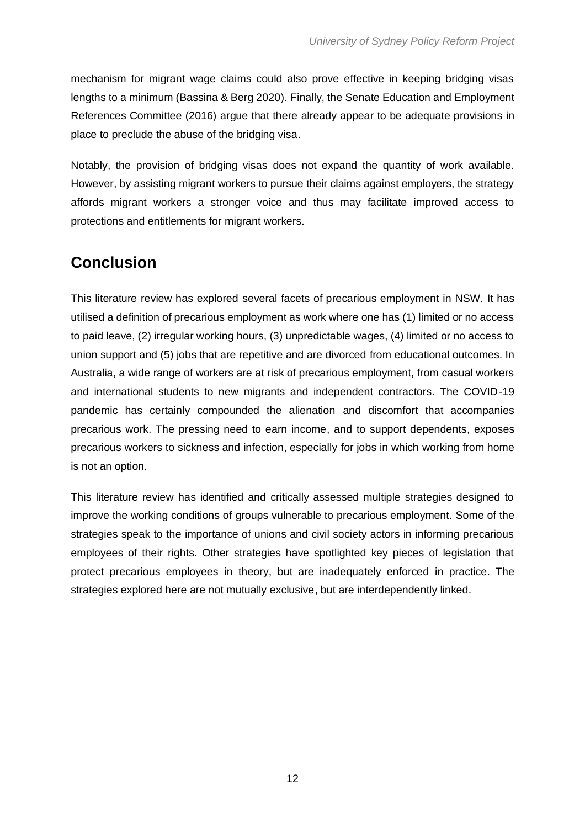mechanism for migrant wage claims could also prove effective in keeping bridging visas lengths to a minimum (Bassina & Berg 2020). Finally, the Senate Education and Employment References Committee (2016) argue that there already appear to be adequate provisions in place to preclude the abuse of the bridging visa.

Notably, the provision of bridging visas does not expand the quantity of work available. However, by assisting migrant workers to pursue their claims against employers, the strategy affords migrant workers a stronger voice and thus may facilitate improved access to protections and entitlements for migrant workers.

# <span id="page-13-0"></span>**Conclusion**

This literature review has explored several facets of precarious employment in NSW. It has utilised a definition of precarious employment as work where one has (1) limited or no access to paid leave, (2) irregular working hours, (3) unpredictable wages, (4) limited or no access to union support and (5) jobs that are repetitive and are divorced from educational outcomes. In Australia, a wide range of workers are at risk of precarious employment, from casual workers and international students to new migrants and independent contractors. The COVID-19 pandemic has certainly compounded the alienation and discomfort that accompanies precarious work. The pressing need to earn income, and to support dependents, exposes precarious workers to sickness and infection, especially for jobs in which working from home is not an option.

This literature review has identified and critically assessed multiple strategies designed to improve the working conditions of groups vulnerable to precarious employment. Some of the strategies speak to the importance of unions and civil society actors in informing precarious employees of their rights. Other strategies have spotlighted key pieces of legislation that protect precarious employees in theory, but are inadequately enforced in practice. The strategies explored here are not mutually exclusive, but are interdependently linked.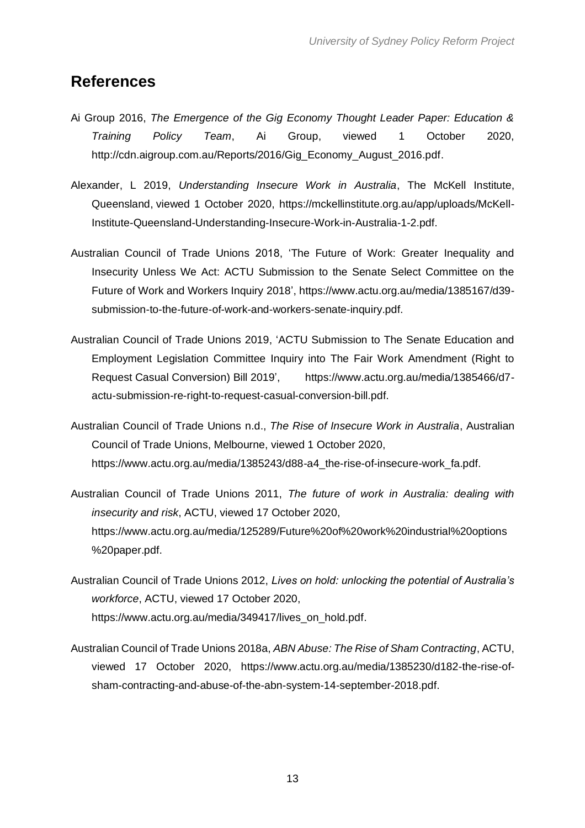### <span id="page-14-0"></span>**References**

- Ai Group 2016, *The Emergence of the Gig Economy Thought Leader Paper: Education & Training Policy Team*, Ai Group, viewed 1 October 2020, [http://cdn.aigroup.com.au/Reports/2016/Gig\\_Economy\\_August\\_2016.pdf.](http://cdn.aigroup.com.au/Reports/2016/Gig_Economy_August_2016.pdf)
- Alexander, L 2019, *Understanding Insecure Work in Australia*, The McKell Institute, Queensland, viewed 1 October 2020, https://mckellinstitute.org.au/app/uploads/McKell-Institute-Queensland-Understanding-Insecure-Work-in-Australia-1-2.pdf.
- Australian Council of Trade Unions 2018, 'The Future of Work: Greater Inequality and Insecurity Unless We Act: ACTU Submission to the Senate Select Committee on the Future of Work and Workers Inquiry 2018', https://www.actu.org.au/media/1385167/d39 submission-to-the-future-of-work-and-workers-senate-inquiry.pdf.
- Australian Council of Trade Unions 2019, 'ACTU Submission to The Senate Education and Employment Legislation Committee Inquiry into The Fair Work Amendment (Right to Request Casual Conversion) Bill 2019', https://www.actu.org.au/media/1385466/d7 actu-submission-re-right-to-request-casual-conversion-bill.pdf.
- Australian Council of Trade Unions n.d., *The Rise of Insecure Work in Australia*, Australian Council of Trade Unions, Melbourne, viewed 1 October 2020, [https://www.actu.org.au/media/1385243/d88-a4\\_the-rise-of-insecure-work\\_fa.pdf.](https://www.actu.org.au/media/1385243/d88-a4_the-rise-of-insecure-work_fa.pdf)
- Australian Council of Trade Unions 2011, *The future of work in Australia: dealing with insecurity and risk*, ACTU, viewed 17 October 2020, [https://www.actu.org.au/media/125289/Future%20of%20work%20industrial%20options](https://www.actu.org.au/media/125289/Future%20of%20work%20industrial%20options%20paper.pdf) [%20paper.pdf.](https://www.actu.org.au/media/125289/Future%20of%20work%20industrial%20options%20paper.pdf)
- Australian Council of Trade Unions 2012, *Lives on hold: unlocking the potential of Australia's workforce*, ACTU, viewed 17 October 2020, [https://www.actu.org.au/media/349417/lives\\_on\\_hold.pdf.](https://www.actu.org.au/media/349417/lives_on_hold.pdf)
- Australian Council of Trade Unions 2018a, *ABN Abuse: The Rise of Sham Contracting*, ACTU, viewed 17 October 2020, [https://www.actu.org.au/media/1385230/d182-the-rise-of](https://www.actu.org.au/media/1385230/d182-the-rise-of-sham-contracting-and-abuse-of-the-abn-system-14-september-2018.pdf)[sham-contracting-and-abuse-of-the-abn-system-14-september-2018.pdf.](https://www.actu.org.au/media/1385230/d182-the-rise-of-sham-contracting-and-abuse-of-the-abn-system-14-september-2018.pdf)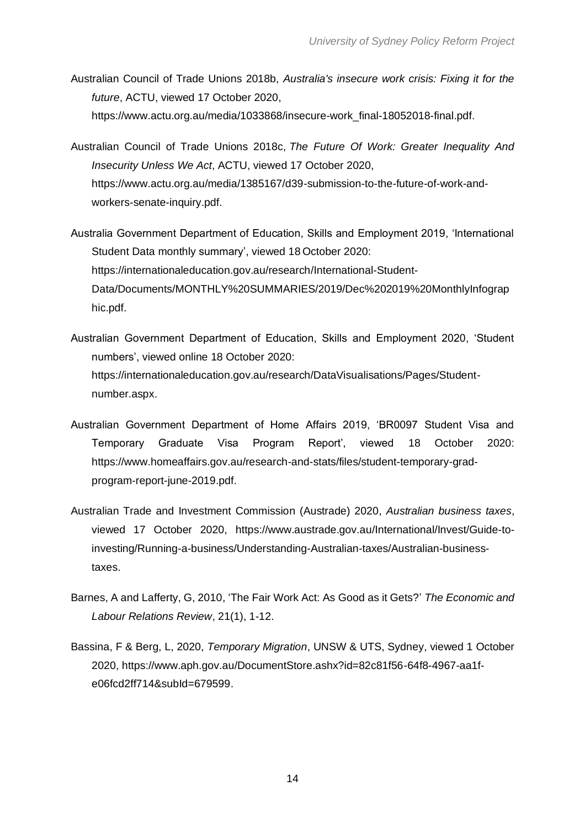- Australian Council of Trade Unions 2018b, *Australia's insecure work crisis: Fixing it for the future*, ACTU, viewed 17 October 2020, [https://www.actu.org.au/media/1033868/insecure-work\\_final-18052018-final.pdf.](https://www.actu.org.au/media/1033868/insecure-work_final-18052018-final.pdf)
- Australian Council of Trade Unions 2018c, *The Future Of Work: Greater Inequality And Insecurity Unless We Act*, ACTU, viewed 17 October 2020, [https://www.actu.org.au/media/1385167/d39-submission-to-the-future-of-work-and](https://www.actu.org.au/media/1385167/d39-submission-to-the-future-of-work-and-workers-senate-inquiry.pdf)[workers-senate-inquiry.pdf.](https://www.actu.org.au/media/1385167/d39-submission-to-the-future-of-work-and-workers-senate-inquiry.pdf)
- Australia Government Department of Education, Skills and Employment 2019, 'International Student Data monthly summary', viewed 18 October 2020: [https://internationaleducation.gov.au/research/International-Student-](https://internationaleducation.gov.au/research/International-Student-Data/Documents/MONTHLY%20SUMMARIES/2019/Dec%202019%20MonthlyInfographic.pdf)[Data/Documents/MONTHLY%20SUMMARIES/2019/Dec%202019%20MonthlyInfograp](https://internationaleducation.gov.au/research/International-Student-Data/Documents/MONTHLY%20SUMMARIES/2019/Dec%202019%20MonthlyInfographic.pdf) [hic.pdf.](https://internationaleducation.gov.au/research/International-Student-Data/Documents/MONTHLY%20SUMMARIES/2019/Dec%202019%20MonthlyInfographic.pdf)
- Australian Government Department of Education, Skills and Employment 2020, 'Student numbers', viewed online 18 October 2020: [https://internationaleducation.gov.au/research/DataVisualisations/Pages/Student](https://internationaleducation.gov.au/research/DataVisualisations/Pages/Student-number.aspx)[number.aspx.](https://internationaleducation.gov.au/research/DataVisualisations/Pages/Student-number.aspx)
- Australian Government Department of Home Affairs 2019, 'BR0097 Student Visa and Temporary Graduate Visa Program Report', viewed 18 October 2020: [https://www.homeaffairs.gov.au/research-and-stats/files/student-temporary-grad](https://www.homeaffairs.gov.au/research-and-stats/files/student-temporary-grad-program-report-june-2019.pdf)[program-report-june-2019.pdf.](https://www.homeaffairs.gov.au/research-and-stats/files/student-temporary-grad-program-report-june-2019.pdf)
- Australian Trade and Investment Commission (Austrade) 2020, *Australian business taxes*, viewed 17 October 2020, [https://www.austrade.gov.au/International/Invest/Guide-to](https://www.austrade.gov.au/International/Invest/Guide-to-investing/Running-a-business/Understanding-Australian-taxes/Australian-business-taxes)[investing/Running-a-business/Understanding-Australian-taxes/Australian-business](https://www.austrade.gov.au/International/Invest/Guide-to-investing/Running-a-business/Understanding-Australian-taxes/Australian-business-taxes)[taxes.](https://www.austrade.gov.au/International/Invest/Guide-to-investing/Running-a-business/Understanding-Australian-taxes/Australian-business-taxes)
- Barnes, A and Lafferty, G, 2010, 'The Fair Work Act: As Good as it Gets?' *The Economic and Labour Relations Review*, 21(1), 1-12.
- Bassina, F & Berg, L, 2020, *Temporary Migration*, UNSW & UTS, Sydney, viewed 1 October 2020, [https://www.aph.gov.au/DocumentStore.ashx?id=82c81f56-64f8-4967-aa1f](https://www.aph.gov.au/DocumentStore.ashx?id=82c81f56-64f8-4967-aa1f-e06fcd2ff714&subId=679599)[e06fcd2ff714&subId=679599.](https://www.aph.gov.au/DocumentStore.ashx?id=82c81f56-64f8-4967-aa1f-e06fcd2ff714&subId=679599)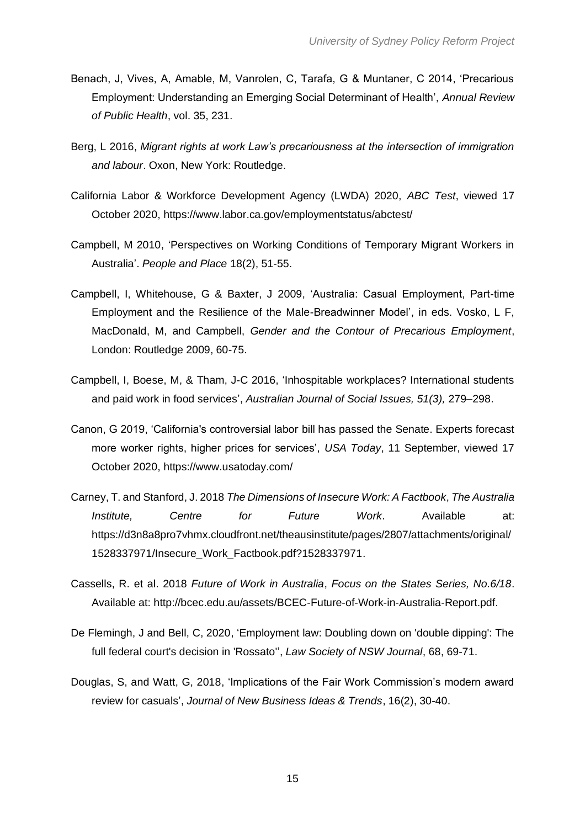- Benach, J, Vives, A, Amable, M, Vanrolen, C, Tarafa, G & Muntaner, C 2014, 'Precarious Employment: Understanding an Emerging Social Determinant of Health', *Annual Review of Public Health*, vol. 35, 231.
- Berg, L 2016, *Migrant rights at work Law's precariousness at the intersection of immigration and labour*. Oxon, New York: Routledge.
- California Labor & Workforce Development Agency (LWDA) 2020, *ABC Test*, viewed 17 October 2020,<https://www.labor.ca.gov/employmentstatus/abctest/>
- Campbell, M 2010, 'Perspectives on Working Conditions of Temporary Migrant Workers in Australia'. *People and Place* 18(2), 51-55.
- Campbell, I, Whitehouse, G & Baxter, J 2009, 'Australia: Casual Employment, Part-time Employment and the Resilience of the Male-Breadwinner Model', in eds. Vosko, L F, MacDonald, M, and Campbell, *Gender and the Contour of Precarious Employment*, London: Routledge 2009, 60-75.
- Campbell, I, Boese, M, & Tham, J-C 2016, 'Inhospitable workplaces? International students and paid work in food services', *Australian Journal of Social Issues, 51(3),* 279–298.
- Canon, G 2019, 'California's controversial labor bill has passed the Senate. Experts forecast more worker rights, higher prices for services', *USA Today*, 11 September, viewed 17 October 2020,<https://www.usatoday.com/>
- Carney, T. and Stanford, J. 2018 *The Dimensions of Insecure Work: A Factbook*, *The Australia Institute, Centre for Future Work*. Available at: [https://d3n8a8pro7vhmx.cloudfront.net/theausinstitute/pages/2807/attachments/original/](https://d3n8a8pro7vhmx.cloudfront.net/theausinstitute/pages/2807/attachments/original/1528337971/Insecure_Work_Factbook.pdf?1528337971) [1528337971/Insecure\\_Work\\_Factbook.pdf?1528337971.](https://d3n8a8pro7vhmx.cloudfront.net/theausinstitute/pages/2807/attachments/original/1528337971/Insecure_Work_Factbook.pdf?1528337971)
- Cassells, R. et al. 2018 *Future of Work in Australia*, *Focus on the States Series, No.6/18*. Available at: [http://bcec.edu.au/assets/BCEC-Future-of-Work-in-Australia-Report.pdf.](http://bcec.edu.au/assets/BCEC-Future-of-Work-in-Australia-Report.pdf)
- De Flemingh, J and Bell, C, 2020, 'Employment law: Doubling down on 'double dipping': The full federal court's decision in 'Rossato'', *Law Society of NSW Journal*, 68, 69-71.
- Douglas, S, and Watt, G, 2018, 'Implications of the Fair Work Commission's modern award review for casuals', *Journal of New Business Ideas & Trends*, 16(2), 30-40.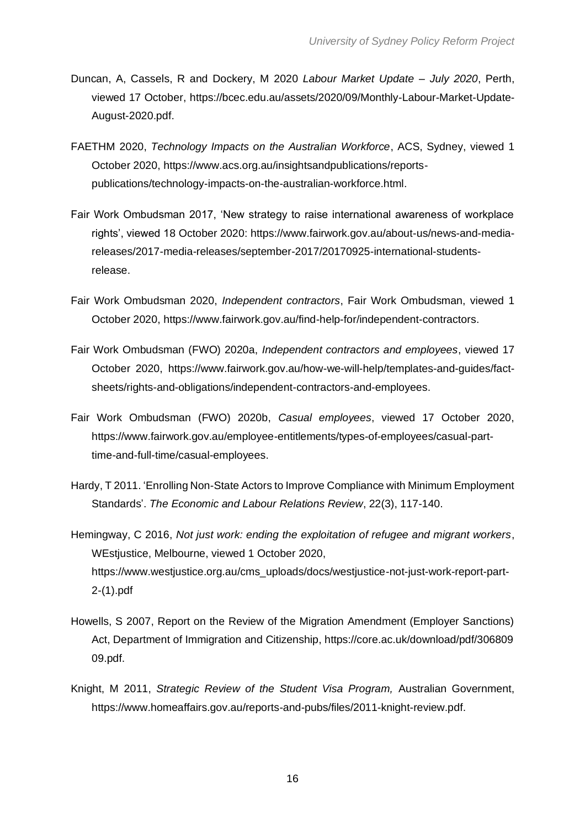- Duncan, A, Cassels, R and Dockery, M 2020 *Labour Market Update – July 2020*, Perth, viewed 17 October, [https://bcec.edu.au/assets/2020/09/Monthly-Labour-Market-Update-](https://bcec.edu.au/assets/2020/09/Monthly-Labour-Market-Update-August-2020.pdf)[August-2020.pdf.](https://bcec.edu.au/assets/2020/09/Monthly-Labour-Market-Update-August-2020.pdf)
- FAETHM 2020, *Technology Impacts on the Australian Workforce*, ACS, Sydney, viewed 1 October 2020, [https://www.acs.org.au/insightsandpublications/reports](https://www.acs.org.au/insightsandpublications/reports-publications/technology-impacts-on-the-australian-workforce.html)[publications/technology-impacts-on-the-australian-workforce.html.](https://www.acs.org.au/insightsandpublications/reports-publications/technology-impacts-on-the-australian-workforce.html)
- Fair Work Ombudsman 2017, 'New strategy to raise international awareness of workplace rights', viewed 18 October 2020: [https://www.fairwork.gov.au/about-us/news-and-media](https://www.fairwork.gov.au/about-us/news-and-media-releases/2017-media-releases/september-2017/20170925-international-students-release)[releases/2017-media-releases/september-2017/20170925-international-students](https://www.fairwork.gov.au/about-us/news-and-media-releases/2017-media-releases/september-2017/20170925-international-students-release)[release.](https://www.fairwork.gov.au/about-us/news-and-media-releases/2017-media-releases/september-2017/20170925-international-students-release)
- Fair Work Ombudsman 2020, *Independent contractors*, Fair Work Ombudsman, viewed 1 October 2020, [https://www.fairwork.gov.au/find-help-for/independent-contractors.](https://www.fairwork.gov.au/find-help-for/independent-contractors)
- Fair Work Ombudsman (FWO) 2020a, *Independent contractors and employees*, viewed 17 October 2020, [https://www.fairwork.gov.au/how-we-will-help/templates-and-guides/fact](https://www.fairwork.gov.au/how-we-will-help/templates-and-guides/fact-sheets/rights-and-obligations/independent-contractors-and-employees)[sheets/rights-and-obligations/independent-contractors-and-employees.](https://www.fairwork.gov.au/how-we-will-help/templates-and-guides/fact-sheets/rights-and-obligations/independent-contractors-and-employees)
- Fair Work Ombudsman (FWO) 2020b, *Casual employees*, viewed 17 October 2020, [https://www.fairwork.gov.au/employee-entitlements/types-of-employees/casual-part](https://www.fairwork.gov.au/employee-entitlements/types-of-employees/casual-part-time-and-full-time/casual-employees)[time-and-full-time/casual-employees.](https://www.fairwork.gov.au/employee-entitlements/types-of-employees/casual-part-time-and-full-time/casual-employees)
- Hardy, T 2011. 'Enrolling Non-State Actors to Improve Compliance with Minimum Employment Standards'. *The Economic and Labour Relations Review*, 22(3), 117-140.
- Hemingway, C 2016, *Not just work: ending the exploitation of refugee and migrant workers*, WEstjustice, Melbourne, viewed 1 October 2020, [https://www.westjustice.org.au/cms\\_uploads/docs/westjustice-not-just-work-report-part-](https://www.westjustice.org.au/cms_uploads/docs/westjustice-not-just-work-report-part-2-(1).pdf)[2-\(1\).pdf](https://www.westjustice.org.au/cms_uploads/docs/westjustice-not-just-work-report-part-2-(1).pdf)
- Howells, S 2007, Report on the Review of the Migration Amendment (Employer Sanctions) Act, Department of Immigration and Citizenship, https://core.ac.uk/download/pdf/306809 09.pdf.
- Knight, M 2011, *Strategic Review of the Student Visa Program,* Australian Government, https://www.homeaffairs.gov.au/reports-and-pubs/files/2011-knight-review.pdf.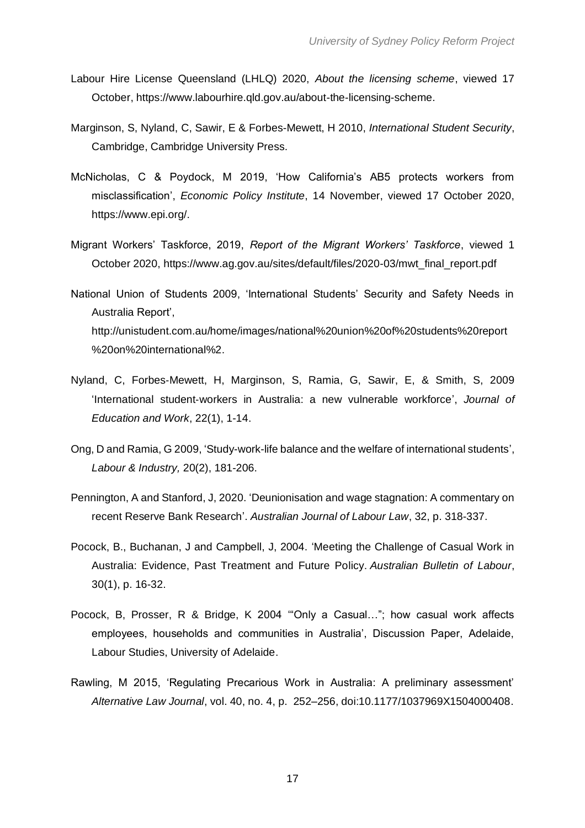- Labour Hire License Queensland (LHLQ) 2020, *About the licensing scheme*, viewed 17 October, [https://www.labourhire.qld.gov.au/about-the-licensing-scheme.](https://www.labourhire.qld.gov.au/about-the-licensing-scheme)
- Marginson, S, Nyland, C, Sawir, E & Forbes-Mewett, H 2010, *International Student Security*, Cambridge, Cambridge University Press.
- McNicholas, C & Poydock, M 2019, 'How California's AB5 protects workers from misclassification', *Economic Policy Institute*, 14 November, viewed 17 October 2020, [https://www.epi.org/.](https://www.epi.org/)
- Migrant Workers' Taskforce, 2019, *Report of the Migrant Workers' Taskforce*, viewed 1 October 2020, [https://www.ag.gov.au/sites/default/files/2020-03/mwt\\_final\\_report.pdf](https://www.ag.gov.au/sites/default/files/2020-03/mwt_final_report.pdf)
- National Union of Students 2009, 'International Students' Security and Safety Needs in Australia Report', http://unistudent.com.au/home/images/national%20union%20of%20students%20report %20on%20international%2.
- Nyland, C, Forbes‐Mewett, H, Marginson, S, Ramia, G, Sawir, E, & Smith, S, 2009 'International student‐workers in Australia: a new vulnerable workforce', *Journal of Education and Work*, 22(1), 1-14.
- Ong, D and Ramia, G 2009, 'Study-work-life balance and the welfare of international students', *Labour & Industry,* 20(2), 181-206.
- Pennington, A and Stanford, J, 2020. 'Deunionisation and wage stagnation: A commentary on recent Reserve Bank Research'. *Australian Journal of Labour Law*, 32, p. 318-337.
- Pocock, B., Buchanan, J and Campbell, J, 2004. 'Meeting the Challenge of Casual Work in Australia: Evidence, Past Treatment and Future Policy. *Australian Bulletin of Labour*, 30(1), p. 16-32.
- Pocock, B, Prosser, R & Bridge, K 2004 '"Only a Casual…"; how casual work affects employees, households and communities in Australia', Discussion Paper, Adelaide, Labour Studies, University of Adelaide.
- Rawling, M 2015, 'Regulating Precarious Work in Australia: A preliminary assessment' *Alternative Law Journal*, vol. 40, no. 4, p. 252–256, doi:10.1177/1037969X1504000408.